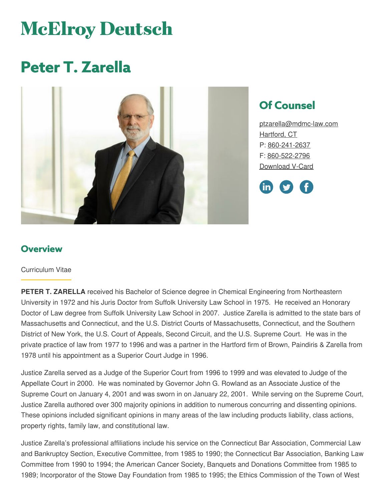# **McElroy Deutsch**

# **Peter T. Zarella**



## **Of Counsel**

[ptzarella@mdmc-law.com](mailto:ptzarella@mdmc-law.com) [Hartford,](https://www.mdmc-law.com/offices/hartford) CT P: [860-241-2637](tel:860-241-2637) F: [860-522-2796](tel:860-522-2796) [Download](https://www.mdmc-law.com/node/461/vcard) V-Card



#### **Overview**

#### Curriculum Vitae

**PETER T. ZARELLA** received his Bachelor of Science degree in Chemical Engineering from Northeastern University in 1972 and his Juris Doctor from Suffolk University Law School in 1975. He received an Honorary Doctor of Law degree from Suffolk University Law School in 2007. Justice Zarella is admitted to the state bars of Massachusetts and Connecticut, and the U.S. District Courts of Massachusetts, Connecticut, and the Southern District of New York, the U.S. Court of Appeals, Second Circuit, and the U.S. Supreme Court. He was in the private practice of law from 1977 to 1996 and was a partner in the Hartford firm of Brown, Paindiris & Zarella from 1978 until his appointment as a Superior Court Judge in 1996.

Justice Zarella served as a Judge of the Superior Court from 1996 to 1999 and was elevated to Judge of the Appellate Court in 2000. He was nominated by Governor John G. Rowland as an Associate Justice of the Supreme Court on January 4, 2001 and was sworn in on January 22, 2001. While serving on the Supreme Court, Justice Zarella authored over 300 majority opinions in addition to numerous concurring and dissenting opinions. These opinions included significant opinions in many areas of the law including products liability, class actions, property rights, family law, and constitutional law.

Justice Zarella's professional affiliations include his service on the Connecticut Bar Association, Commercial Law and Bankruptcy Section, Executive Committee, from 1985 to 1990; the Connecticut Bar Association, Banking Law Committee from 1990 to 1994; the American Cancer Society, Banquets and Donations Committee from 1985 to 1989; Incorporator of the Stowe Day Foundation from 1985 to 1995; the Ethics Commission of the Town of West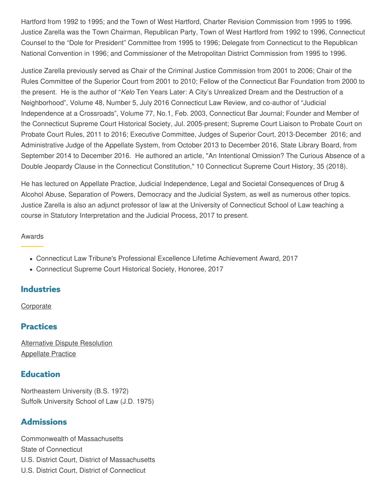Hartford from 1992 to 1995; and the Town of West Hartford, Charter Revision Commission from 1995 to 1996. Justice Zarella was the Town Chairman, Republican Party, Town of West Hartford from 1992 to 1996, Connecticut Counsel to the "Dole for President" Committee from 1995 to 1996; Delegate from Connecticut to the Republican National Convention in 1996; and Commissioner of the Metropolitan District Commission from 1995 to 1996.

Justice Zarella previously served as Chair of the Criminal Justice Commission from 2001 to 2006; Chair of the Rules Committee of the Superior Court from 2001 to 2010; Fellow of the Connecticut Bar Foundation from 2000 to the present. He is the author of "*Kelo* Ten Years Later: A City's Unrealized Dream and the Destruction of a Neighborhood", Volume 48, Number 5, July 2016 Connecticut Law Review, and co-author of "Judicial Independence at a Crossroads", Volume 77, No.1, Feb. 2003, Connecticut Bar Journal; Founder and Member of the Connecticut Supreme Court Historical Society, Jul. 2005-present; Supreme Court Liaison to Probate Court on Probate Court Rules, 2011 to 2016; Executive Committee, Judges of Superior Court, 2013-December 2016; and Administrative Judge of the Appellate System, from October 2013 to December 2016, State Library Board, from September 2014 to December 2016. He authored an article, "An Intentional Omission? The Curious Absence of a Double Jeopardy Clause in the Connecticut Constitution," 10 Connecticut Supreme Court History, 35 (2018).

He has lectured on Appellate Practice, Judicial Independence, Legal and Societal Consequences of Drug & Alcohol Abuse, Separation of Powers, Democracy and the Judicial System, as well as numerous other topics. Justice Zarella is also an adjunct professor of law at the University of Connecticut School of Law teaching a course in Statutory Interpretation and the Judicial Process, 2017 to present.

#### Awards

- Connecticut Law Tribune's Professional Excellence Lifetime Achievement Award, 2017
- Connecticut Supreme Court Historical Society, Honoree, 2017

#### **Industries**

**[Corporate](https://www.mdmc-law.com/industries/corporate)** 

#### **Practices**

[Alternative](https://www.mdmc-law.com/practices/alternative-dispute-resolution) Dispute Resolution [Appellate](https://www.mdmc-law.com/practices/appellate-practice) Practice

#### **Education**

Northeastern University (B.S. 1972) Suffolk University School of Law (J.D. 1975)

#### **Admissions**

Commonwealth of Massachusetts State of Connecticut U.S. District Court, District of Massachusetts U.S. District Court, District of Connecticut